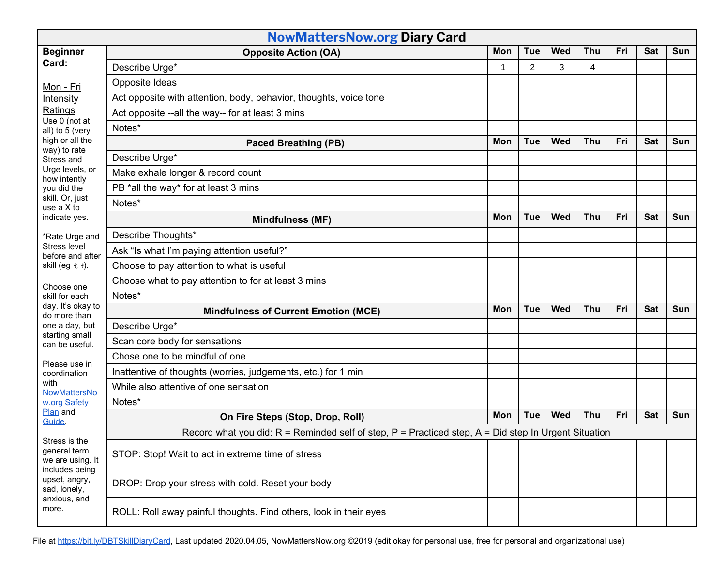| <b>NowMattersNow.org Diary Card</b>                                                                                                                                                              |                                                                                                            |              |                |            |            |     |            |     |  |
|--------------------------------------------------------------------------------------------------------------------------------------------------------------------------------------------------|------------------------------------------------------------------------------------------------------------|--------------|----------------|------------|------------|-----|------------|-----|--|
| <b>Beginner</b>                                                                                                                                                                                  | <b>Opposite Action (OA)</b>                                                                                | Mon          | <b>Tue</b>     | Wed        | <b>Thu</b> | Fri | <b>Sat</b> | Sun |  |
| Card:                                                                                                                                                                                            | Describe Urge*                                                                                             | $\mathbf{1}$ | $\overline{2}$ | 3          | 4          |     |            |     |  |
| Mon - Fri                                                                                                                                                                                        | Opposite Ideas                                                                                             |              |                |            |            |     |            |     |  |
| Intensity                                                                                                                                                                                        | Act opposite with attention, body, behavior, thoughts, voice tone                                          |              |                |            |            |     |            |     |  |
| Ratings<br>Use 0 (not at<br>all) to 5 (very<br>high or all the<br>way) to rate<br>Stress and<br>Urge levels, or<br>how intently<br>you did the<br>skill. Or, just<br>use a X to<br>indicate yes. | Act opposite --all the way-- for at least 3 mins                                                           |              |                |            |            |     |            |     |  |
|                                                                                                                                                                                                  | Notes*                                                                                                     |              |                |            |            |     |            |     |  |
|                                                                                                                                                                                                  | <b>Paced Breathing (PB)</b>                                                                                | Mon          | <b>Tue</b>     | Wed        | <b>Thu</b> | Fri | <b>Sat</b> | Sun |  |
|                                                                                                                                                                                                  | Describe Urge*                                                                                             |              |                |            |            |     |            |     |  |
|                                                                                                                                                                                                  | Make exhale longer & record count                                                                          |              |                |            |            |     |            |     |  |
|                                                                                                                                                                                                  | PB *all the way* for at least 3 mins                                                                       |              |                |            |            |     |            |     |  |
|                                                                                                                                                                                                  | Notes*                                                                                                     |              |                |            |            |     |            |     |  |
|                                                                                                                                                                                                  | Mindfulness (MF)                                                                                           | Mon          | <b>Tue</b>     | Wed        | <b>Thu</b> | Fri | <b>Sat</b> | Sun |  |
| *Rate Urge and<br>Stress level<br>before and after<br>skill (eg 4, 4).                                                                                                                           | Describe Thoughts*                                                                                         |              |                |            |            |     |            |     |  |
|                                                                                                                                                                                                  | Ask "Is what I'm paying attention useful?"                                                                 |              |                |            |            |     |            |     |  |
|                                                                                                                                                                                                  | Choose to pay attention to what is useful                                                                  |              |                |            |            |     |            |     |  |
| Choose one<br>skill for each<br>day. It's okay to<br>do more than<br>one a day, but<br>starting small<br>can be useful.<br>Please use in<br>coordination<br>with<br>NowMattersNo<br>w.org Safety | Choose what to pay attention to for at least 3 mins                                                        |              |                |            |            |     |            |     |  |
|                                                                                                                                                                                                  | Notes*                                                                                                     |              |                |            |            |     |            |     |  |
|                                                                                                                                                                                                  | <b>Mindfulness of Current Emotion (MCE)</b>                                                                | Mon          | <b>Tue</b>     | <b>Wed</b> | Thu        | Fri | <b>Sat</b> | Sun |  |
|                                                                                                                                                                                                  | Describe Urge*                                                                                             |              |                |            |            |     |            |     |  |
|                                                                                                                                                                                                  | Scan core body for sensations                                                                              |              |                |            |            |     |            |     |  |
|                                                                                                                                                                                                  | Chose one to be mindful of one                                                                             |              |                |            |            |     |            |     |  |
|                                                                                                                                                                                                  | Inattentive of thoughts (worries, judgements, etc.) for 1 min                                              |              |                |            |            |     |            |     |  |
|                                                                                                                                                                                                  | While also attentive of one sensation                                                                      |              |                |            |            |     |            |     |  |
|                                                                                                                                                                                                  | Notes*                                                                                                     |              |                |            |            |     |            |     |  |
| Plan and<br>Guide.                                                                                                                                                                               | On Fire Steps (Stop, Drop, Roll)                                                                           | Mon          | <b>Tue</b>     | <b>Wed</b> | Thu        | Fri | Sat        | Sun |  |
| Stress is the<br>general term<br>we are using. It<br>includes being<br>upset, angry,<br>sad, lonely,<br>anxious, and<br>more.                                                                    | Record what you did: $R =$ Reminded self of step, $P =$ Practiced step, $A =$ Did step In Urgent Situation |              |                |            |            |     |            |     |  |
|                                                                                                                                                                                                  | STOP: Stop! Wait to act in extreme time of stress                                                          |              |                |            |            |     |            |     |  |
|                                                                                                                                                                                                  | DROP: Drop your stress with cold. Reset your body                                                          |              |                |            |            |     |            |     |  |
|                                                                                                                                                                                                  | ROLL: Roll away painful thoughts. Find others, look in their eyes                                          |              |                |            |            |     |            |     |  |

File at <https://bit.ly/DBTSkillDiaryCard>, Last updated 2020.04.05, NowMattersNow.org ©2019 (edit okay for personal use, free for personal and organizational use)